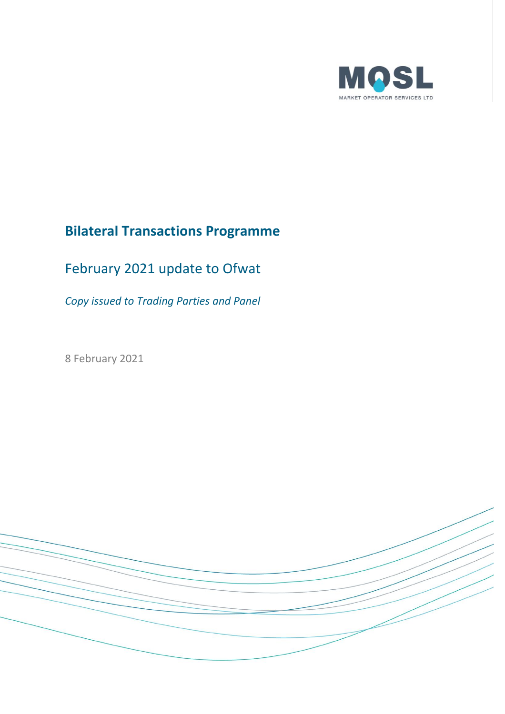

# **Bilateral Transactions Programme**

# February 2021 update to Ofwat

*Copy issued to Trading Parties and Panel*

8 February 2021

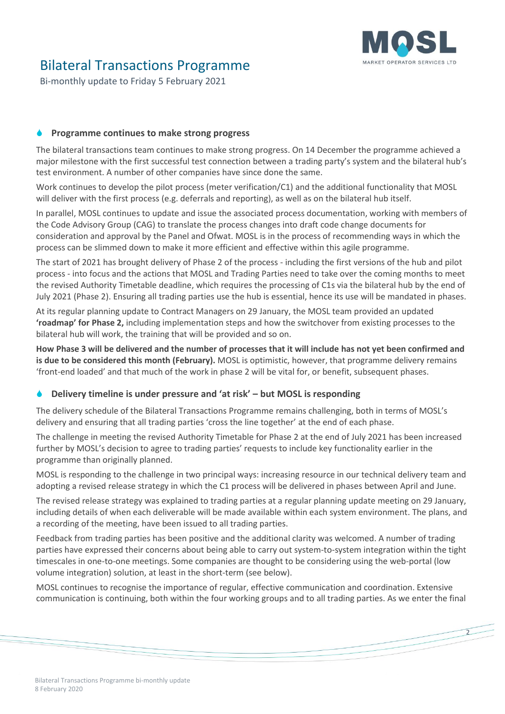

 $\overline{2}$ 

### Bilateral Transactions Programme

Bi-monthly update to Friday 5 February 2021

### **Programme continues to make strong progress**

The bilateral transactions team continues to make strong progress. On 14 December the programme achieved a major milestone with the first successful test connection between a trading party's system and the bilateral hub's test environment. A number of other companies have since done the same.

Work continues to develop the pilot process (meter verification/C1) and the additional functionality that MOSL will deliver with the first process (e.g. deferrals and reporting), as well as on the bilateral hub itself.

In parallel, MOSL continues to update and issue the associated process documentation, working with members of the Code Advisory Group (CAG) to translate the process changes into draft code change documents for consideration and approval by the Panel and Ofwat. MOSL is in the process of recommending ways in which the process can be slimmed down to make it more efficient and effective within this agile programme.

The start of 2021 has brought delivery of Phase 2 of the process - including the first versions of the hub and pilot process - into focus and the actions that MOSL and Trading Parties need to take over the coming months to meet the revised Authority Timetable deadline, which requires the processing of C1s via the bilateral hub by the end of July 2021 (Phase 2). Ensuring all trading parties use the hub is essential, hence its use will be mandated in phases.

At its regular planning update to Contract Managers on 29 January, the MOSL team provided an updated **'roadmap' for Phase 2,** including implementation steps and how the switchover from existing processes to the bilateral hub will work, the training that will be provided and so on.

**How Phase 3 will be delivered and the number of processes that it will include has not yet been confirmed and is due to be considered this month (February).** MOSL is optimistic, however, that programme delivery remains 'front-end loaded' and that much of the work in phase 2 will be vital for, or benefit, subsequent phases.

### **Delivery timeline is under pressure and 'at risk' – but MOSL is responding**

The delivery schedule of the Bilateral Transactions Programme remains challenging, both in terms of MOSL's delivery and ensuring that all trading parties 'cross the line together' at the end of each phase.

The challenge in meeting the revised Authority Timetable for Phase 2 at the end of July 2021 has been increased further by MOSL's decision to agree to trading parties' requests to include key functionality earlier in the programme than originally planned.

MOSL is responding to the challenge in two principal ways: increasing resource in our technical delivery team and adopting a revised release strategy in which the C1 process will be delivered in phases between April and June.

The revised release strategy was explained to trading parties at a regular planning update meeting on 29 January, including details of when each deliverable will be made available within each system environment. The plans, and a recording of the meeting, have been issued to all trading parties.

Feedback from trading parties has been positive and the additional clarity was welcomed. A number of trading parties have expressed their concerns about being able to carry out system-to-system integration within the tight timescales in one-to-one meetings. Some companies are thought to be considering using the web-portal (low volume integration) solution, at least in the short-term (see below).

MOSL continues to recognise the importance of regular, effective communication and coordination. Extensive communication is continuing, both within the four working groups and to all trading parties. As we enter the final